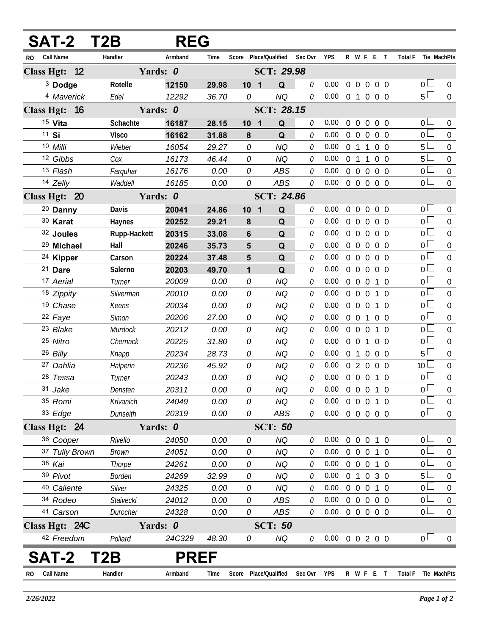| <b>SAT-2 T2B</b>        |               | <b>REG</b>  |       |            |                       |            |         |                            |                |                   |                   |            |     |                |                 |                  |
|-------------------------|---------------|-------------|-------|------------|-----------------------|------------|---------|----------------------------|----------------|-------------------|-------------------|------------|-----|----------------|-----------------|------------------|
| <b>Call Name</b><br>RO. | Handler       | Armband     | Time  |            | Score Place/Qualified |            | Sec Ovr | <b>YPS</b>                 |                |                   | R W F E T         |            |     | <b>Total F</b> | Tie MachPts     |                  |
| Class Hgt: 12           |               | Yards: 0    |       |            | SCT: 29.98            |            |         |                            |                |                   |                   |            |     |                |                 |                  |
| <sup>3</sup> Dodge      | Rotelle       | 12150       | 29.98 |            | 10 <sub>1</sub>       | Q          | 0       | 0.00                       |                |                   | 00000             |            |     |                | $0-$            | $\overline{0}$   |
| 4 Maverick              | Edel          | 12292       | 36.70 | 0          |                       | <b>NQ</b>  | 0       | $0.00 \t0 1 0 0 0$         |                |                   |                   |            |     |                | 5 <sup>0</sup>  | $\overline{0}$   |
| Class Hgt: 16           |               | Yards: 0    |       |            | SCT: 28.15            |            |         |                            |                |                   |                   |            |     |                |                 |                  |
| 15 Vita                 | Schachte      | 16187       | 28.15 |            | 10 <sub>1</sub>       | Q          | 0       | 0.00 <sub>1</sub>          | $\overline{0}$ |                   | 0 0 0 0           |            |     |                | $0-$            | $\overline{0}$   |
| 11 Si                   | <b>Visco</b>  | 16162       | 31.88 | 8          |                       | Q          | 0       | 0.00                       |                |                   | 0 0 0 0 0         |            |     |                | 0 <sup>1</sup>  | $\overline{0}$   |
| 10 Milli                | Wieber        | 16054       | 29.27 | 0          |                       | <b>NQ</b>  | 0       | 0.00                       |                | $0 \t1 \t1$       |                   | $0\quad 0$ |     |                | 5 <sub>1</sub>  | $\overline{0}$   |
| 12 Gibbs                | Cox           | 16173       | 46.44 | 0          |                       | <b>NQ</b>  | 0       | 0.00                       | $0 \t1 \t1$    |                   |                   | $0\quad 0$ |     |                | 5 <sub>1</sub>  | $\overline{0}$   |
| 13 Flash                | Farguhar      | 16176       | 0.00  | 0          |                       | <b>ABS</b> | 0       | 0.00                       |                |                   | $0\quad 0\quad 0$ | $0\quad 0$ |     |                | $0\Box$         | $\overline{0}$   |
| 14 Zelly                | Waddell       | 16185       | 0.00  | 0          |                       | ABS        | 0       | $0.00 \t0 \t0 \t0 \t0 \t0$ |                |                   |                   |            |     |                | $\overline{0}$  | $\overline{0}$   |
| Class Hgt: 20           |               | Yards: 0    |       | SCT: 24.86 |                       |            |         |                            |                |                   |                   |            |     |                |                 |                  |
| <sup>20</sup> Danny     | Davis         | 20041       | 24.86 |            | 10 <sub>1</sub>       | Q          | 0       | 0.00 <sub>1</sub>          | $\overline{0}$ |                   | 0 0 0 0           |            |     |                | 0 <sub>0</sub>  | $\overline{0}$   |
| 30 Karat                | Haynes        | 20252       | 29.21 | 8          |                       | Q          | 0       | 0.00                       | $\mathbf 0$    | $\overline{0}$    | $0\quad 0\quad 0$ |            |     |                | $\overline{0}$  | $\overline{0}$   |
| 32 Joules               | Rupp-Hackett  | 20315       | 33.08 | 6          |                       | Q          | 0       | 0.00                       |                |                   | 0 0 0 0 0         |            |     |                | 0 <sub>0</sub>  | $\mathbf 0$      |
| <sup>29</sup> Michael   | Hall          | 20246       | 35.73 | 5          |                       | Q          | 0       | 0.00                       | $\overline{0}$ | $\mathbf 0$       | $\overline{0}$    | $0\quad 0$ |     |                | 0 <sup>1</sup>  | $\overline{0}$   |
| <sup>24</sup> Kipper    | Carson        | 20224       | 37.48 | 5          |                       | Q          | 0       | 0.00                       |                |                   | 00000             |            |     |                | 0 <sub>0</sub>  | $\mathbf 0$      |
| 21 Dare                 | Salerno       | 20203       | 49.70 | 1          |                       | Q          | 0       | 0.00                       | $\overline{0}$ | $\overline{0}$    | $0\quad 0\quad 0$ |            |     |                | 0 <sup>2</sup>  | $\overline{0}$   |
| 17 Aerial               | Turner        | 20009       | 0.00  | 0          |                       | <b>NQ</b>  | 0       | 0.00                       |                | $0\quad 0\quad 0$ |                   |            | 1 0 |                | 0 <sub>0</sub>  | $\mathbf 0$      |
| 18 Zippity              | Silverman     | 20010       | 0.00  | 0          |                       | <b>NQ</b>  | 0       | 0.00                       | $\overline{0}$ |                   | $0\quad 0$        | 1 0        |     |                | $\overline{0}$  | $\overline{0}$   |
| 19 Chase                | Keens         | 20034       | 0.00  | 0          |                       | <b>NQ</b>  | 0       | 0.00                       | $\overline{0}$ | $0\quad 0$        |                   |            | 1 0 |                | $0\Box$         | $\mathbf 0$      |
| 22 Faye                 | Simon         | 20206       | 27.00 | 0          |                       | <b>NQ</b>  | 0       | 0.00                       | $0\quad 0$     |                   | $\overline{1}$    | $0\quad 0$ |     |                | $_0\square$     | $\overline{0}$   |
| 23 Blake                | Murdock       | 20212       | 0.00  | 0          |                       | <b>NQ</b>  | 0       | 0.00                       |                | $0\quad 0\quad 0$ |                   |            | 1 0 |                | 0 <sub>0</sub>  | $\mathbf 0$      |
| 25 Nitro                | Chernack      | 20225       | 31.80 | 0          |                       | <b>NQ</b>  | 0       | 0.00                       | $0\quad 0$     |                   | 1                 | $0\quad 0$ |     |                | 0 <sup>1</sup>  | $\mathbf 0$      |
| 26 Billy                | Knapp         | 20234       | 28.73 | 0          |                       | <b>NQ</b>  | 0       | 0.00                       |                |                   | 0 1 0 0 0         |            |     |                | 5 <sup>1</sup>  | $\mathbf 0$      |
| 27 Dahlia               | Halperin      | 20236       | 45.92 | 0          |                       | <b>NQ</b>  | 0       | 0.00                       |                |                   | 02000             |            |     |                | 10 <sup>L</sup> | $\overline{0}$   |
| 28 Tessa                | Turner        | 20243       | 0.00  | 0          |                       | <b>NQ</b>  | 0       | 0.00                       |                |                   | 0 0 0 1 0         |            |     |                | $\overline{0}$  | $\boldsymbol{0}$ |
| 31 Jake                 | Densten       | 20311       | 0.00  | 0          |                       | <b>NQ</b>  | 0       | $0.00 \t0 \t0 \t0 \t1 \t0$ |                |                   |                   |            |     |                | 0 <sub>1</sub>  | $\boldsymbol{0}$ |
| 35 Romi                 | Krivanich     | 24049       | 0.00  | 0          |                       | <b>NQ</b>  | 0       | 0.00                       |                |                   | 0 0 0 1 0         |            |     |                | 0 <sub>1</sub>  | $\overline{0}$   |
| 33 Edge                 | Dunseith      | 20319       | 0.00  | 0          |                       | ABS        | 0       | $0.00 \t0 \t0 \t0 \t0 \t0$ |                |                   |                   |            |     |                | $\overline{0}$  | $\overline{0}$   |
| Class Hgt: 24           |               | Yards: 0    |       |            | <b>SCT: 50</b>        |            |         |                            |                |                   |                   |            |     |                |                 |                  |
| 36 Cooper               | Rivello       | 24050       | 0.00  | 0          |                       | <b>NQ</b>  | 0       | 0.00 <sub>1</sub>          |                |                   | 0 0 0 1 0         |            |     |                | 0 <sub>0</sub>  | $\theta$         |
| 37 Tully Brown          | <b>Brown</b>  | 24051       | 0.00  | 0          |                       | <b>NQ</b>  | 0       | $0.00 \t0 \t0 \t0 \t1 \t0$ |                |                   |                   |            |     |                | 0 <sub>0</sub>  | $\mathbf 0$      |
| 38 Kai                  | Thorpe        | 24261       | 0.00  | 0          |                       | <b>NQ</b>  | 0       | 0.00                       |                |                   | 0 0 0 1 0         |            |     |                | $\overline{0}$  | $\overline{0}$   |
| 39 Pivot                | <b>Borden</b> | 24269       | 32.99 | 0          |                       | <b>NQ</b>  | 0       | $0.00 \t0 1 0 3 0$         |                |                   |                   |            |     |                | 5 <sup>1</sup>  | $\mathbf 0$      |
| 40 Caliente             | Silver        | 24325       | 0.00  | 0          |                       | <b>NQ</b>  | 0       | 0.00                       |                |                   | 0 0 0 1 0         |            |     |                | $\overline{0}$  | $\boldsymbol{0}$ |
| 34 Rodeo                | Staivecki     | 24012       | 0.00  | 0          |                       | <b>ABS</b> | 0       | $0.00 \t0 \t0 \t0 \t0 \t0$ |                |                   |                   |            |     |                | 0 <sub>0</sub>  | $\mathbf 0$      |
| 41 Carson               | Durocher      | 24328       | 0.00  | 0          |                       | ABS        | 0       | $0.00 \t0 \t0 \t0 \t0 \t0$ |                |                   |                   |            |     |                | 0 L             | $\overline{0}$   |
| Class Hgt: 24C          |               | Yards: 0    |       |            | <b>SCT: 50</b>        |            |         |                            |                |                   |                   |            |     |                |                 |                  |
| 42 Freedom              | Pollard       | 24C329      | 48.30 | 0          |                       | NQ         | 0       | $0.00 \t0 \t0 \t2 \t0 \t0$ |                |                   |                   |            |     |                | 0 <sub>1</sub>  | $\overline{0}$   |
| SAT-2                   | T2B           | <b>PREF</b> |       |            |                       |            |         |                            |                |                   |                   |            |     |                |                 |                  |
| Call Name<br><b>RO</b>  | Handler       | Armband     | Time  | Score      | Place/Qualified       |            | Sec Ovr | YPS                        |                |                   | R W F E T         |            |     | <b>Total F</b> | Tie MachPts     |                  |